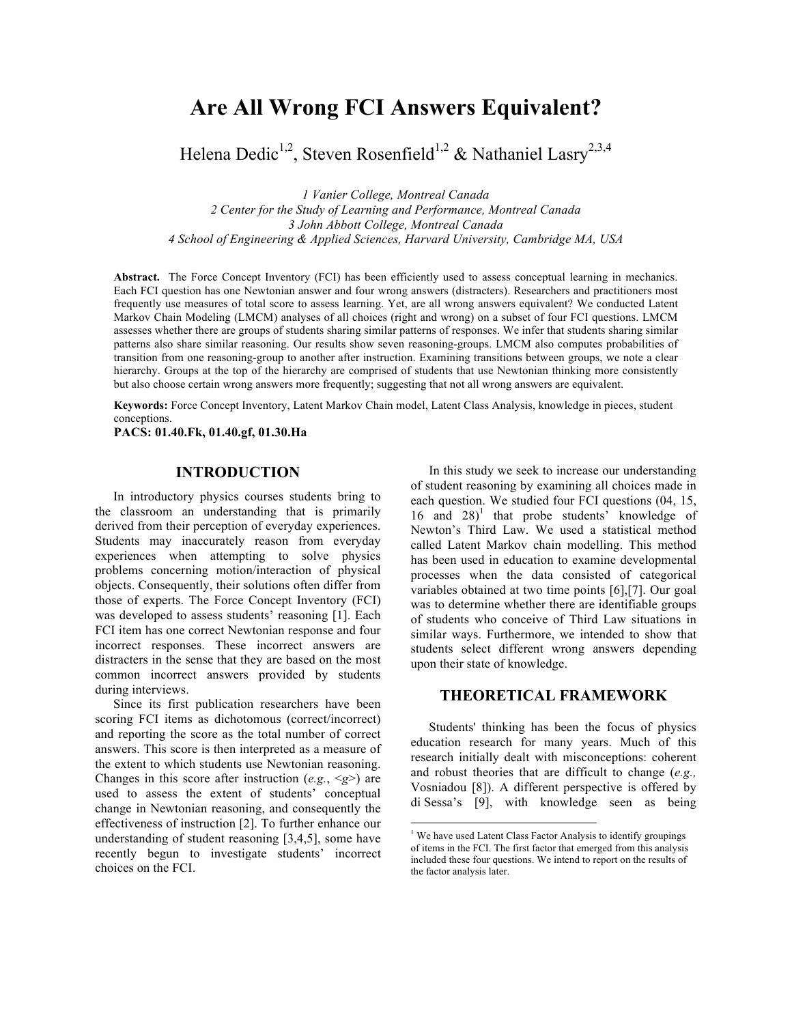# **Are All Wrong FCI Answers Equivalent?**

Helena Dedic<sup>1,2</sup>, Steven Rosenfield<sup>1,2</sup> & Nathaniel Lasry<sup>2,3,4</sup>

*1 Vanier College, Montreal Canada 2 Center for the Study of Learning and Performance, Montreal Canada 3 John Abbott College, Montreal Canada 4 School of Engineering & Applied Sciences, Harvard University, Cambridge MA, USA*

**Abstract.** The Force Concept Inventory (FCI) has been efficiently used to assess conceptual learning in mechanics. Each FCI question has one Newtonian answer and four wrong answers (distracters). Researchers and practitioners most frequently use measures of total score to assess learning. Yet, are all wrong answers equivalent? We conducted Latent Markov Chain Modeling (LMCM) analyses of all choices (right and wrong) on a subset of four FCI questions. LMCM assesses whether there are groups of students sharing similar patterns of responses. We infer that students sharing similar patterns also share similar reasoning. Our results show seven reasoning-groups. LMCM also computes probabilities of transition from one reasoning-group to another after instruction. Examining transitions between groups, we note a clear hierarchy. Groups at the top of the hierarchy are comprised of students that use Newtonian thinking more consistently but also choose certain wrong answers more frequently; suggesting that not all wrong answers are equivalent.

**Keywords:** Force Concept Inventory, Latent Markov Chain model, Latent Class Analysis, knowledge in pieces, student conceptions.

**PACS: 01.40.Fk, 01.40.gf, 01.30.Ha**

## **INTRODUCTION**

In introductory physics courses students bring to the classroom an understanding that is primarily derived from their perception of everyday experiences. Students may inaccurately reason from everyday experiences when attempting to solve physics problems concerning motion/interaction of physical objects. Consequently, their solutions often differ from those of experts. The Force Concept Inventory (FCI) was developed to assess students' reasoning [1]. Each FCI item has one correct Newtonian response and four incorrect responses. These incorrect answers are distracters in the sense that they are based on the most common incorrect answers provided by students during interviews.

Since its first publication researchers have been scoring FCI items as dichotomous (correct/incorrect) and reporting the score as the total number of correct answers. This score is then interpreted as a measure of the extent to which students use Newtonian reasoning. Changes in this score after instruction  $(e.g., \le g>$ ) are used to assess the extent of students' conceptual change in Newtonian reasoning, and consequently the effectiveness of instruction [2]. To further enhance our understanding of student reasoning [3,4,5], some have recently begun to investigate students' incorrect choices on the FCI.

In this study we seek to increase our understanding of student reasoning by examining all choices made in each question. We studied four FCI questions (04, 15,  $16$  and  $28$ <sup>1</sup> that probe students<sup>3</sup> knowledge of Newton's Third Law. We used a statistical method called Latent Markov chain modelling. This method has been used in education to examine developmental processes when the data consisted of categorical variables obtained at two time points [6],[7]. Our goal was to determine whether there are identifiable groups of students who conceive of Third Law situations in similar ways. Furthermore, we intended to show that students select different wrong answers depending upon their state of knowledge.

# **THEORETICAL FRAMEWORK**

Students' thinking has been the focus of physics education research for many years. Much of this research initially dealt with misconceptions: coherent and robust theories that are difficult to change (*e.g.,*  Vosniadou [8]). A different perspective is offered by di Sessa's [9], with knowledge seen as being

 $\frac{1}{1}$ <sup>1</sup> We have used Latent Class Factor Analysis to identify groupings of items in the FCI. The first factor that emerged from this analysis included these four questions. We intend to report on the results of the factor analysis later.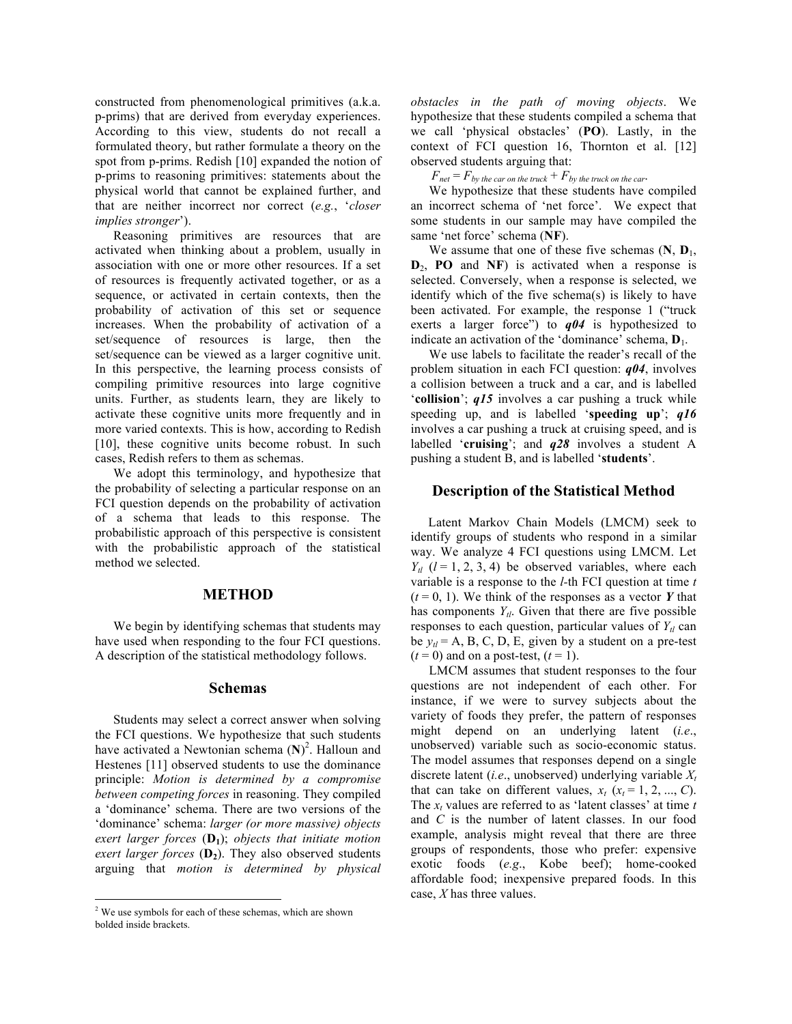constructed from phenomenological primitives (a.k.a. p-prims) that are derived from everyday experiences. According to this view, students do not recall a formulated theory, but rather formulate a theory on the spot from p-prims. Redish [10] expanded the notion of p-prims to reasoning primitives: statements about the physical world that cannot be explained further, and that are neither incorrect nor correct (*e.g.*, '*closer implies stronger*').

Reasoning primitives are resources that are activated when thinking about a problem, usually in association with one or more other resources. If a set of resources is frequently activated together, or as a sequence, or activated in certain contexts, then the probability of activation of this set or sequence increases. When the probability of activation of a set/sequence of resources is large, then the set/sequence can be viewed as a larger cognitive unit. In this perspective, the learning process consists of compiling primitive resources into large cognitive units. Further, as students learn, they are likely to activate these cognitive units more frequently and in more varied contexts. This is how, according to Redish [10], these cognitive units become robust. In such cases, Redish refers to them as schemas.

We adopt this terminology, and hypothesize that the probability of selecting a particular response on an FCI question depends on the probability of activation of a schema that leads to this response. The probabilistic approach of this perspective is consistent with the probabilistic approach of the statistical method we selected.

#### **METHOD**

We begin by identifying schemas that students may have used when responding to the four FCI questions. A description of the statistical methodology follows.

#### **Schemas**

Students may select a correct answer when solving the FCI questions. We hypothesize that such students have activated a Newtonian schema (**N**) 2 . Halloun and Hestenes [11] observed students to use the dominance principle: *Motion is determined by a compromise between competing forces* in reasoning. They compiled a 'dominance' schema. There are two versions of the 'dominance' schema: *larger (or more massive) objects exert larger forces*  $(D_1)$ ; *objects that initiate motion exert larger forces*  $(D_2)$ . They also observed students arguing that *motion is determined by physical* 

*obstacles in the path of moving objects*. We hypothesize that these students compiled a schema that we call 'physical obstacles' (**PO**). Lastly, in the context of FCI question 16, Thornton et al. [12] observed students arguing that:

 $F_{net} = F_{by}$  *the car on the truck*  $+ F_{by}$  *the truck on the car*.

We hypothesize that these students have compiled an incorrect schema of 'net force'. We expect that some students in our sample may have compiled the same 'net force' schema (**NF**).

We assume that one of these five schemas  $(N, D_1)$ ,  $D_2$ , **PO** and **NF**) is activated when a response is selected. Conversely, when a response is selected, we identify which of the five schema(s) is likely to have been activated. For example, the response 1 ("truck exerts a larger force") to *q04* is hypothesized to indicate an activation of the 'dominance' schema, **D**1.

We use labels to facilitate the reader's recall of the problem situation in each FCI question: *q04*, involves a collision between a truck and a car, and is labelled '**collision**'; *q15* involves a car pushing a truck while speeding up, and is labelled '**speeding up**'; *q16* involves a car pushing a truck at cruising speed, and is labelled '**cruising**'; and *q28* involves a student A pushing a student B, and is labelled '**students**'.

#### **Description of the Statistical Method**

Latent Markov Chain Models (LMCM) seek to identify groups of students who respond in a similar way. We analyze 4 FCI questions using LMCM. Let  $Y_{tl}$  ( $l = 1, 2, 3, 4$ ) be observed variables, where each variable is a response to the *l-*th FCI question at time *t*  $(t=0, 1)$ . We think of the responses as a vector Y that has components  $Y_{tl}$ . Given that there are five possible responses to each question, particular values of  $Y_{tl}$  can be  $y_d = A$ , B, C, D, E, given by a student on a pre-test  $(t=0)$  and on a post-test,  $(t=1)$ .

LMCM assumes that student responses to the four questions are not independent of each other. For instance, if we were to survey subjects about the variety of foods they prefer, the pattern of responses might depend on an underlying latent (*i.e*., unobserved) variable such as socio-economic status. The model assumes that responses depend on a single discrete latent (*i.e*., unobserved) underlying variable *Xt* that can take on different values,  $x_t$  ( $x_t$  = 1, 2, ..., C). The  $x_t$  values are referred to as 'latent classes' at time  $t$ and *C* is the number of latent classes. In our food example, analysis might reveal that there are three groups of respondents, those who prefer: expensive exotic foods (*e.g*., Kobe beef); home-cooked affordable food; inexpensive prepared foods. In this case, *X* has three values.

 $\frac{1}{2}$  $2$  We use symbols for each of these schemas, which are shown bolded inside brackets.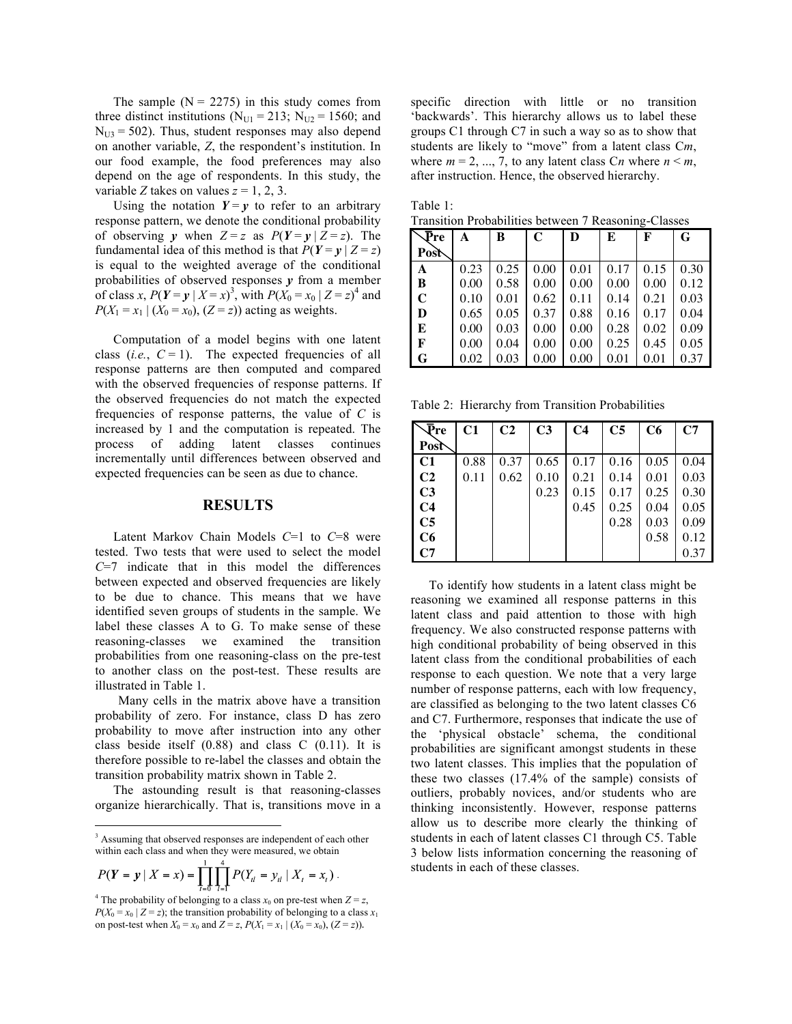The sample  $(N = 2275)$  in this study comes from three distinct institutions ( $N_{U1} = 213$ ;  $N_{U2} = 1560$ ; and  $N_{U3}$  = 502). Thus, student responses may also depend on another variable, *Z*, the respondent's institution. In our food example, the food preferences may also depend on the age of respondents. In this study, the variable *Z* takes on values  $z = 1, 2, 3$ .

Using the notation  $Y = y$  to refer to an arbitrary response pattern, we denote the conditional probability of observing *y* when  $Z = z$  as  $P(Y = y | Z = z)$ . The fundamental idea of this method is that  $P(Y = y | Z = z)$ is equal to the weighted average of the conditional probabilities of observed responses  $\nu$  from a member of class *x*,  $P(Y = y | X = x)^3$ , with  $P(X_0 = x_0 | Z = z)^4$  and  $P(X_1 = x_1 | (X_0 = x_0), (Z = z))$  acting as weights.

Computation of a model begins with one latent class (*i.e.*,  $C = 1$ ). The expected frequencies of all response patterns are then computed and compared with the observed frequencies of response patterns. If the observed frequencies do not match the expected frequencies of response patterns, the value of *C* is increased by 1 and the computation is repeated. The process of adding latent classes continues incrementally until differences between observed and expected frequencies can be seen as due to chance.

## **RESULTS**

Latent Markov Chain Models *C*=1 to *C*=8 were tested. Two tests that were used to select the model *C*=7 indicate that in this model the differences between expected and observed frequencies are likely to be due to chance. This means that we have identified seven groups of students in the sample. We label these classes A to G. To make sense of these reasoning-classes we examined the transition probabilities from one reasoning-class on the pre-test to another class on the post-test. These results are illustrated in Table 1.

Many cells in the matrix above have a transition probability of zero. For instance, class D has zero probability to move after instruction into any other class beside itself  $(0.88)$  and class C  $(0.11)$ . It is therefore possible to re-label the classes and obtain the transition probability matrix shown in Table 2.

The astounding result is that reasoning-classes organize hierarchically. That is, transitions move in a

$$
P(Y = y | X = x) = \prod_{i=0}^{1} \prod_{i=1}^{n} P(Y_{i} = y_{i} | X_{i} = x_{i}).
$$

specific direction with little or no transition 'backwards'. This hierarchy allows us to label these groups C1 through C7 in such a way so as to show that students are likely to "move" from a latent class C*m*, where  $m = 2, ..., 7$ , to any latent class  $C_n$  where  $n \le m$ , after instruction. Hence, the observed hierarchy.

Table 1: Transition Probabilities between 7 Reasoning-Classes

| $\overline{\bar{P}}$ re | A    | B    | $\mathbf C$ | D    | E    | F    | G    |
|-------------------------|------|------|-------------|------|------|------|------|
| Post                    |      |      |             |      |      |      |      |
| A                       | 0.23 | 0.25 | 0.00        | 0.01 | 0.17 | 0.15 | 0.30 |
| B                       | 0.00 | 0.58 | 0.00        | 0.00 | 0.00 | 0.00 | 0.12 |
| $\mathbf C$             | 0.10 | 0.01 | 0.62        | 0.11 | 0.14 | 0.21 | 0.03 |
| D                       | 0.65 | 0.05 | 0.37        | 0.88 | 0.16 | 0.17 | 0.04 |
| E                       | 0.00 | 0.03 | 0.00        | 0.00 | 0.28 | 0.02 | 0.09 |
| F                       | 0.00 | 0.04 | 0.00        | 0.00 | 0.25 | 0.45 | 0.05 |
| G                       | 0.02 | 0.03 | 0.00        | 0.00 | 0.01 | 0.01 | 0.37 |

Table 2: Hierarchy from Transition Probabilities

| $\sqrt{\mathbf{P}}$ re | C1   | C <sub>2</sub> | C <sub>3</sub> | C <sub>4</sub> | C <sub>5</sub> | C <sub>6</sub> | C7   |
|------------------------|------|----------------|----------------|----------------|----------------|----------------|------|
| Post                   |      |                |                |                |                |                |      |
| C1                     | 0.88 | 0.37           | 0.65           | 0.17           | 0.16           | 0.05           | 0.04 |
| C <sub>2</sub>         | 0.11 | 0.62           | 0.10           | 0.21           | 0.14           | 0.01           | 0.03 |
| C <sub>3</sub>         |      |                | 0.23           | 0.15           | 0.17           | 0.25           | 0.30 |
| C <sub>4</sub>         |      |                |                | 0.45           | 0.25           | 0.04           | 0.05 |
| C <sub>5</sub>         |      |                |                |                | 0.28           | 0.03           | 0.09 |
| C6                     |      |                |                |                |                | 0.58           | 0.12 |
| C7                     |      |                |                |                |                |                | 0.37 |

To identify how students in a latent class might be reasoning we examined all response patterns in this latent class and paid attention to those with high frequency. We also constructed response patterns with high conditional probability of being observed in this latent class from the conditional probabilities of each response to each question. We note that a very large number of response patterns, each with low frequency, are classified as belonging to the two latent classes C6 and C7. Furthermore, responses that indicate the use of 'physical obstacle' schema, the conditional probabilities are significant amongst students in these two latent classes. This implies that the population of these two classes (17.4% of the sample) consists of outliers, probably novices, and/or students who are thinking inconsistently. However, response patterns allow us to describe more clearly the thinking of students in each of latent classes C1 through C5. Table 3 below lists information concerning the reasoning of students in each of these classes.

<sup>&</sup>lt;sup>3</sup> Assuming that observed responses are independent of each other within each class and when they were measured, we obtain

<sup>&</sup>lt;sup>4</sup> The probability of belonging to a class  $x_0$  on pre-test when  $Z = z$ ,  $P(X_0 = x_0 | Z = z)$ ; the transition probability of belonging to a class  $x_1$ on post-test when  $X_0 = x_0$  and  $Z = z$ ,  $P(X_1 = x_1 | (X_0 = x_0), (Z = z))$ .